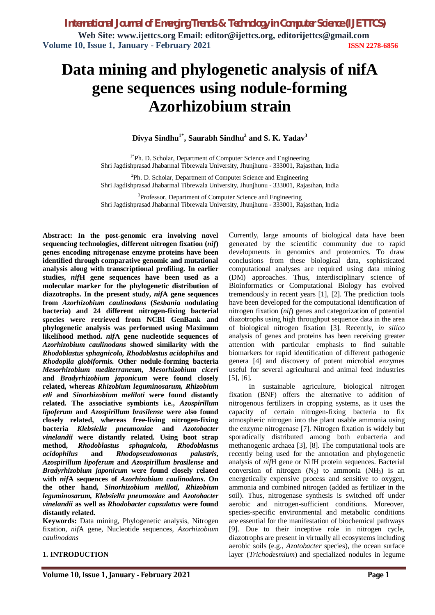# **Data mining and phylogenetic analysis of nifA gene sequences using nodule-forming Azorhizobium strain**

### **Divya Sindhu1\* , Saurabh Sindhu<sup>2</sup> and S. K. Yadav<sup>3</sup>**

<sup>1\*</sup>Ph. D. Scholar, Department of Computer Science and Engineering Shri Jagdishprasad Jhabarmal Tibrewala University, Jhunjhunu - 333001, Rajasthan, India

<sup>2</sup>Ph. D. Scholar, Department of Computer Science and Engineering Shri Jagdishprasad Jhabarmal Tibrewala University, Jhunjhunu - 333001, Rajasthan, India

<sup>3</sup>Professor, Department of Computer Science and Engineering Shri Jagdishprasad Jhabarmal Tibrewala University, Jhunjhunu - 333001, Rajasthan, India

**Abstract: In the post-genomic era involving novel sequencing technologies, different nitrogen fixation (***nif***) genes encoding nitrogenase enzyme proteins have been identified through comparative genomic and mutational analysis along with transcriptional profiling. In earlier studies,** *nif***H gene sequences have been used as a molecular marker for the phylogenetic distribution of diazotrophs. In the present study,** *nif***A gene sequences from** *Azorhizobium caulinodans* **(***Sesbania* **nodulating bacteria) and 24 different nitrogen-fixing bacterial species were retrieved from NCBI GenBank and phylogenetic analysis was performed using Maximum likelihood method.** *nif***A gene nucleotide sequences of** *Azorhizobium caulinodans* **showed similarity with the**  *Rhodoblastus sphagnicola, Rhodoblastus acidophilus* **and**  *Rhodopila globiformis.* **Other nodule-forming bacteria**  *Mesorhizobium mediterraneum, Mesorhizobium ciceri* **and** *Bradyrhizobium japonicum* **were found closely related, whereas** *Rhizobium leguminosarum, Rhizobium etli* **and** *Sinorhizobium meliloti* **were found distantly related. The associative symbionts i.e.,** *Azospirillum lipoferum* **and** *Azospirillum brasilense* **were also found closely related, whereas free-living nitrogen-fixing bacteria** *Klebsiella pneumoniae* **and** *Azotobacter vinelandii* **were distantly related. Using boot strap method,** *Rhodoblastus sphagnicola, Rhodoblastus acidophilus* **and** *Rhodopseudomonas palustris, Azospirillum lipoferum* **and** *Azospirillum brasilense* **and**  *Bradyrhizobium japonicum* **were found closely related with** *nif***A sequences of** *Azorhizobium caulinodans***. On the other hand,** *Sinorhizobium meliloti, Rhizobium leguminosarum, Klebsiella pneumoniae* **and** *Azotobacter vinelandii* **as well as** *Rhodobacter capsulatus* **were found distantly related.**

**Keywords:** Data mining, Phylogenetic analysis, Nitrogen fixation, *nif*A gene, Nucleotide sequences, *Azorhizobium caulinodans* 

### **1. INTRODUCTION**

Currently, large amounts of biological data have been generated by the scientific community due to rapid developments in genomics and proteomics. To draw conclusions from these biological data, sophisticated computational analyses are required using data mining (DM) approaches. Thus, interdisciplinary science of Bioinformatics or Computational Biology has evolved tremendously in recent years [1], [2]. The prediction tools have been developed for the computational identification of nitrogen fixation (*nif*) genes and categorization of potential diazotrophs using high throughput sequence data in the area of biological nitrogen fixation [3]. Recently, *in silico* analysis of genes and proteins has been receiving greater attention with particular emphasis to find suitable biomarkers for rapid identification of different pathogenic genera [4] and discovery of potent microbial enzymes useful for several agricultural and animal feed industries [5], [6].

In sustainable agriculture, biological nitrogen fixation (BNF) offers the alternative to addition of nitrogenous fertilizers in cropping systems, as it uses the capacity of certain nitrogen-fixing bacteria to fix atmospheric nitrogen into the plant usable ammonia using the enzyme nitrogenase [7]. Nitrogen fixation is widely but sporadically distributed among both eubacteria and methanogenic archaea [3], [8]. The computational tools are recently being used for the annotation and phylogenetic analysis of *nif*H gene or NifH protein sequences. Bacterial conversion of nitrogen  $(N_2)$  to ammonia  $(NH_3)$  is an energetically expensive process and sensitive to oxygen, ammonia and combined nitrogen (added as fertilizer in the soil). Thus, nitrogenase synthesis is switched off under aerobic and nitrogen-sufficient conditions. Moreover, species-specific environmental and metabolic conditions are essential for the manifestation of biochemical pathways [9]. Due to their inceptive role in nitrogen cycle, diazotrophs are present in virtually all ecosystems including aerobic soils (e.g., *Azotobacter* species), the ocean surface layer (*Trichodesmium*) and specialized nodules in legume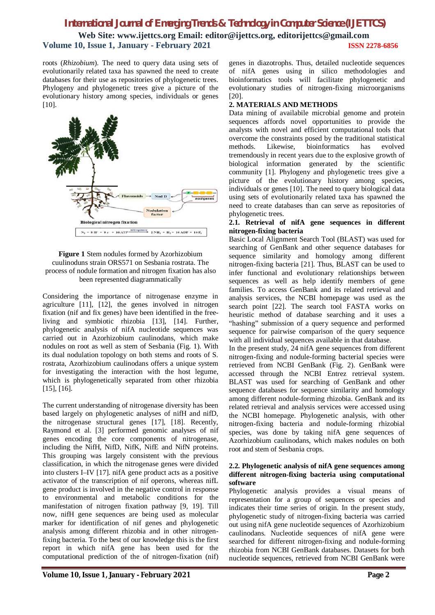## *International Journal of Emerging Trends & Technology in Computer Science (IJETTCS)* **Web Site: www.ijettcs.org Email: editor@ijettcs.org, editorijettcs@gmail.com Volume 10, Issue 1, January - February 2021 ISSN 2278-6856**

roots (*Rhizobium*). The need to query data using sets of evolutionarily related taxa has spawned the need to create databases for their use as repositories of phylogenetic trees. Phylogeny and phylogenetic trees give a picture of the evolutionary history among species, individuals or genes [10].



### **Figure 1** Stem nodules formed by Azorhizobium cuulinoduns strain ORS571 on Sesbania rostrata. The process of nodule formation and nitrogen fixation has also been represented diagrammatically

Considering the importance of nitrogenase enzyme in agriculture [11], [12], the genes involved in nitrogen fixation (nif and fix genes) have been identified in the freeliving and symbiotic rhizobia [13], [14]. Further, phylogenetic analysis of nifA nucleotide sequences was carried out in Azorhizobium caulinodans, which make nodules on root as well as stem of Sesbania (Fig. 1). With its dual nodulation topology on both stems and roots of S. rostrata, Azorhizobium caulinodans offers a unique system for investigating the interaction with the host legume, which is phylogenetically separated from other rhizobia [15], [16].

The current understanding of nitrogenase diversity has been based largely on phylogenetic analyses of nifH and nifD, the nitrogenase structural genes [17], [18]. Recently, Raymond et al. [3] performed genomic analyses of nif genes encoding the core components of nitrogenase, including the NifH, NifD, NifK, NifE and NifN proteins. This grouping was largely consistent with the previous classification, in which the nitrogenase genes were divided into clusters I–IV [17]. nifA gene product acts as a positive activator of the transcription of nif operons, whereas nifL gene product is involved in the negative control in response to environmental and metabolic conditions for the manifestation of nitrogen fixation pathway [9, 19]. Till now, nifH gene sequences are being used as molecular marker for identification of nif genes and phylogenetic analysis among different rhizobia and in other nitrogenfixing bacteria. To the best of our knowledge this is the first report in which nifA gene has been used for the computational prediction of the of nitrogen-fixation (nif)

genes in diazotrophs. Thus, detailed nucleotide sequences of nifA genes using in silico methodologies and bioinformatics tools will facilitate phylogenetic and evolutionary studies of nitrogen-fixing microorganisms [20].

### **2. MATERIALS AND METHODS**

Data mining of availabile microbial genome and protein sequences affords novel opportunities to provide the analysts with novel and efficient computational tools that overcome the constraints posed by the traditional statistical methods. Likewise, bioinformatics has evolved tremendously in recent years due to the explosive growth of biological information generated by the scientific community [1]. Phylogeny and phylogenetic trees give a picture of the evolutionary history among species, individuals or genes [10]. The need to query biological data using sets of evolutionarily related taxa has spawned the need to create databases than can serve as repositories of phylogenetic trees.

### **2.1. Retrieval of nifA gene sequences in different nitrogen-fixing bacteria**

Basic Local Alignment Search Tool (BLAST) was used for searching of GenBank and other sequence databases for sequence similarity and homology among different nitrogen-fixing bacteria [21]. Thus, BLAST can be used to infer functional and evolutionary relationships between sequences as well as help identify members of gene families. To access GenBank and its related retrieval and analysis services, the NCBI homepage was used as the search point [22]. The search tool FASTA works on heuristic method of database searching and it uses a "hashing" submission of a query sequence and performed sequence for pairwise comparison of the query sequence with all individual sequences available in that database.

In the present study, 24 nifA gene sequences from different nitrogen-fixing and nodule-forming bacterial species were retrieved from NCBI GenBank (Fig. 2). GenBank were accessed through the NCBI Entrez retrieval system. BLAST was used for searching of GenBank and other sequence databases for sequence similarity and homology among different nodule-forming rhizobia. GenBank and its related retrieval and analysis services were accessed using the NCBI homepage. Phylogenetic analysis, with other nitrogen-fixing bacteria and nodule-forming rhizobial species, was done by taking nifA gene sequences of Azorhizobium caulinodans, which makes nodules on both root and stem of Sesbania crops.

### **2.2. Phylogenetic analysis of nifA gene sequences among different nitrogen-fixing bacteria using computational software**

Phylogenetic analysis provides a visual means of representation for a group of sequences or species and indicates their time series of origin. In the present study, phylogenetic study of nitrogen-fixing bacteria was carried out using nifA gene nucleotide sequences of Azorhizobium caulinodans. Nucleotide sequences of nifA gene were searched for different nitrogen-fixing and nodule-forming rhizobia from NCBI GenBank databases. Datasets for both nucleotide sequences, retrieved from NCBI GenBank were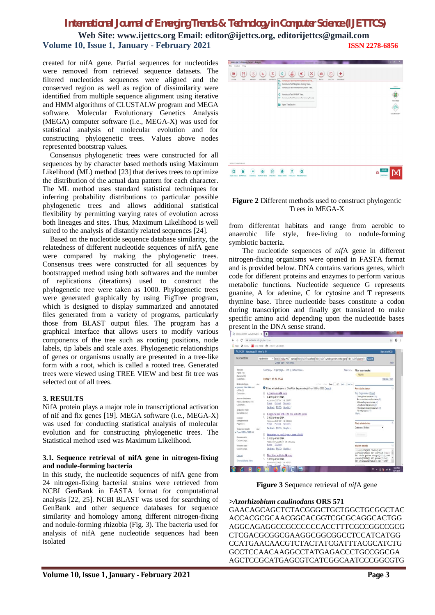**Web Site: www.ijettcs.org Email: editor@ijettcs.org, editorijettcs@gmail.com Volume 10, Issue 1, January - February 2021 ISSN 2278-6856**

created for nifA gene. Partial sequences for nucleotides were removed from retrieved sequence datasets. The filtered nucleotides sequences were aligned and the conserved region as well as region of dissimilarity were identified from multiple sequence alignment using iterative and HMM algorithms of CLUSTALW program and MEGA software. Molecular Evolutionary Genetics Analysis (MEGA) computer software (i.e., MEGA-X) was used for statistical analysis of molecular evolution and for constructing phylogenetic trees. Values above nodes represented bootstrap values.

Consensus phylogenetic trees were constructed for all sequences by by character based methods using Maximum Likelihood (ML) method [23] that derives trees to optimize the distribution of the actual data pattern for each character. The ML method uses standard statistical techniques for inferring probability distributions to particular possible phylogenetic trees and allows additional statistical flexibility by permitting varying rates of evolution across both lineages and sites. Thus, Maximum Likelihood is well suited to the analysis of distantly related sequences [24].

Based on the nucleotide sequence database similarity, the relatedness of different nucleotide sequences of nifA gene were compared by making the phylogenetic trees. Consensus trees were constructed for all sequences by bootstrapped method using both softwares and the number of replications (iterations) used to construct the phylogenetic tree were taken as 1000. Phylogenetic trees were generated graphically by using FigTree program, which is designed to display summarized and annotated files generated from a variety of programs, particularly those from BLAST output files. The program has a graphical interface that allows users to modify various components of the tree such as rooting positions, node labels, tip labels and scale axes. Phylogenetic relationships of genes or organisms usually are presented in a tree-like form with a root, which is called a rooted tree. Generated trees were viewed using TREE VIEW and best fit tree was selected out of all trees.

### **3. RESULTS**

NifA protein plays a major role in transcriptional activation of nif and fix genes [19]. MEGA software (i.e., MEGA-X) was used for conducting statistical analysis of molecular evolution and for constructing phylogenetic trees. The Statistical method used was Maximum Likelihood.

#### **3.1. Sequence retrieval of nifA gene in nitrogen-fixing and nodule-forming bacteria**

In this study, the nucleotide sequences of nifA gene from 24 nitrogen-fixing bacterial strains were retrieved from NCBI GenBank in FASTA format for computational analysis [22, 25]. NCBI BLAST was used for searching of GenBank and other sequence databases for sequence similarity and homology among different nitrogen-fixing and nodule-forming rhizobia (Fig. 3). The bacteria used for analysis of nifA gene nucleotide sequences had been isolated



#### **Figure 2** Different methods used to construct phylogentic Trees in MEGA-X

from differentat habitats and range from aerobic to anaerobic life style, free-living to nodule-forming symbiotic bacteria.

The nucleotide sequences of *nif*A gene in different nitrogen-fixing organisms were opened in FASTA format and is provided below. DNA contains various genes, which code for different proteins and enzymes to perform various metabolic functions. Nucleotide sequence G represents guanine, A for adenine, C for cytosine and T represents thymine base. Three nucleotide bases constitute a codon during transcription and finally get translated to make specific amino acid depending upon the nucleotide bases



**Figure 3** Sequence retrieval of *nif*A gene

*>Azorhizobium caulinodans* **ORS 571**

GAACAGCAGCTCTACGGGCTGCTGGCTGCGGCTAC ACCACGCGCAACGGCACGGTCGCGCAGGCACTGG AGGCAGAGGCCGCCCCCCACCTTTCGCCGGCCGCG CTCGACGCGGCGAAGGCGGCGGCCTCCATCATGG CCATGAACAACGTCTACTATCGATTTACGCATCTG GCCTCCAACAAGGCCTATGAGACCCTGCCGGCGA AGCTCCGCATGAGCGTCATCGGCAATCCCGGCGTG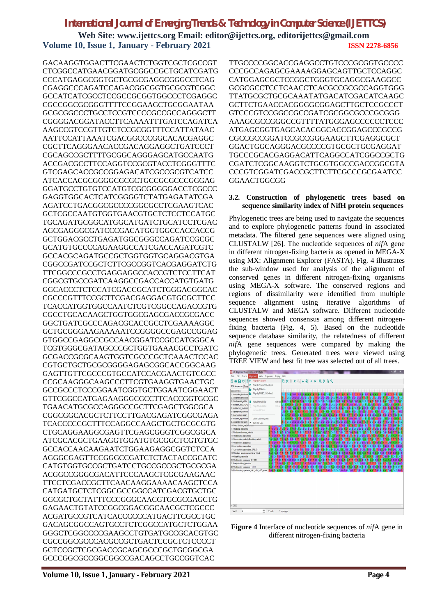**Web Site: www.ijettcs.org Email: editor@ijettcs.org, editorijettcs@gmail.com Volume 10, Issue 1, January - February 2021 ISSN 2278-6856**

GACAAGGTGGACTTCGAACTCTGGTCGCTCGCCGT CTCGGCCATGAACGGATGCGGCCGCTGCATCGATG CCCATGAGGCGGTGCTGCGCGAGGCGGGCCTCAG CGAGGCCCAGATCCAGACGGCGGTGCGCGTCGGC GCCATCATCGCCTCCGCCGCGGTGGCCCTCGAGGC CGCCGGCGCGGGTTTTCCGGAAGCTGCGGAATAA GCGCGGCCCTGCCTCCGTCCCCGCCGCCAGGGCTT CGGGGACGGATACCTTCAAAATTTGATCCAGATCA AAGCCGTCCGTTGTCTCCGCGGTTTCCATTATAAC AATTCCATTAAATCGACGGCCCGGCACACGAGGC CGCTTCAGGGAACACCGACAGGAGGCTGATCCCT CGCAGCCGCTTTTGCGGCAGGGAGCATGCCAATG ACCGACGCCTTCCAGGTCCGCGTACCTCGGGTTTC GTCGAGCACCGCCGGAGACATCGCCGCGTCATCC ATCACCACGCGGGGCGCGCTGCCGCGCCCGGGAG GGATGCCTGTGTCCATGTCGCGGGGGACCTCGCCC GAGGTGGCACTCATCGGGGTCTATGAGATATCGA AGATCCTGACGGCGCCCCGGCGCCTCGAAGTCAC GCTCGCCAATGTGGTGAACGTGCTCTCCTCCATGC TGCAGATGCGGCATGGCATGATCTGCATCCTCGAC AGCGAGGGCGATCCCGACATGGTGGCCACCACCG GCTGGACGCCTGAGATGGCGGGCCAGATCCGCGC GCATGTGCCCCAGAAGGCCATCGACCAGATCGTC GCCACGCAGATGCCGCTGGTGGTGCAGGACGTGA CGGCCGATCCGCTCTTCGCCGGTCACGAGGATCTG TTCGGCCCGCCTGAGGAGGCCACCGTCTCCTTCAT CGGCGTGCCGATCAAGGCCGACCACCATGTGATG GGCACCCTCTCCATCGACCGCATCTGGGACGGCAC CGCCCGTTTCCGCTTCGACGAGGACGTGCGCTTCC TCACCATGGTGGCCAATCTCGTCGGCCAGACCGTG CGCCTGCACAAGCTGGTGGCGAGCGACCGCGACC GGCTGATCGCCCAGACGCACCGCCTCGAAAAGGC GCTGCGGGAAGAAAAATCCGGGGCCGAGCCGGAG GTGGCCGAGGCCGCCAACGGATCCGCCATGGGCA TCGTGGGCGATAGCCCGCTGGTGAAACGCCTGATC GCGACCGCGCAAGTGGTCGCCCGCTCAAACTCCAC CGTGCTGCTGCGCGGGGAGAGCGGCACCGGCAAG GAGTTGTTCGCCCGTGCCATCCACGAACTGTCGCC CCGCAAGGGCAAGCCCTTCGTGAAGGTGAACTGC GCCGCCCTCCCGGAATCGGTGCTGGAATCGGAACT GTTCGGCCATGAGAAGGGCGCCTTCACCGGTGCGC TGAACATGCGCCAGGGCCGCTTCGAGCTGGCGCA CGGCGGCACGCTCTTCCTTGACGAGATCGGCGAGA TCACCCCCGCTTTCCAGGCCAAGCTGCTGCGCGTG CTGCAGGAAGGCGAGTTCGAGCGGGTCGGCGGCA ATCGCACGCTGAAGGTGGATGTGCGGCTCGTGTGC GCCACCAACAAGAATCTGGAAGAGGCGGTCTCCA AGGGCGAGTTCCGGGCCGATCTCTACTACCGCATC CATGTGGTGCCGCTGATCCTGCCGCCGCTGCGCGA ACGGCCGGGCGACATTCCCAAGCTCGCGAAGAAC TTCCTCGACCGCTTCAACAAGGAAAACAAGCTCCA CATGATGCTCTCGGCGCCGGCCATCGACGTGCTGC GGCGCTGCTATTTCCCGGGCAACGTGCGCGAGCTG GAGAACTGTATCCGGCGGACGGCAACGCTCGCCC ACGATGCCGTCATCACCCCCCATGACTTCGCCTGC GACAGCGGCCAGTGCCTCTCGGCCATGCTCTGGAA GGGCTCGGCCCCGAAGCCTGTGATGCCGCACGTGC CGCCGGCGCCCACGCCGCTGACTCCGCTCTCCCCT GCTCCGCTCGCGACCGCAGCGCCCGCTGCGGCGA GCCCGGCGCCGGCGGCCGACAGCCTGCCGGTCAC

TTGCCCCGGCACCGAGGCCTGTCCCGCGGTGCCCC CCCGCCAGAGCGAAAAGGAGCAGTTGCTCCAGGC CATGGAGCGCTCCGGCTGGGTGCAGGCGAAGGCC GCGCGCCTCCTCAACCTCACGCCGCGCCAGGTGGG TTATGCGCTGCGCAAATATGACATCGACATCAAGC GCTTCTGAACCACGGGGCGGAGCTTGCTCCGCCCT GTCCCGTCCGGCCGCCGATCGCGGCGCCCGCGGG AAAGCGCCGGGCCGTTTTATGGGAGCCCCCCTCCC ATGAGCGGTGAGCACACGGCACCGGAGCCCGCCG CGCCGCCGGATCCGCCGGGAAGCTTCGAGGCGCT GGACTGGCAGGGACGCCCCGTGCGCTGCGAGGAT TGCCCGCACGAGGACATTCAGGCCATCGGCCGCTG CGATCTCGGCAAGGTCTGCGTGGCCGACCGGCGTA CCCGTCGGATCGACCGCTTCTTCGCCCGCGAATCC **GGAACTGGCGG** 

### **3.2. Construction of phylogenetic trees based on sequence similarity index of NifH protein sequences**

Phylogenetic trees are being used to navigate the sequences and to explore phylogenetic patterns found in associated metadata. The filtered gene sequences were aligned using CLUSTALW [26]. The nucleotide sequences of *nif*A gene in different nitrogen-fixing bacteria as opened in MEGA-X using MX: Alignment Explorer (FASTA). Fig. 4 illustrates the sub-window used for analysis of the alignment of conserved genes in different nitrogen-fixing organisms using MEGA-X software. The conserved regions and regions of dissimilarity were identified from multiple sequence alignment using iterative algorithms of CLUSTALW and MEGA software. Different nucleotide sequences showed consensus among different nitrogenfixing bacteria (Fig. 4, 5). Based on the nucleotide sequence database similarity, the relatedness of different *nif*A gene sequences were compared by making the phylogenetic trees. Generated trees were viewed using TREE VIEW and best fit tree was selected out of all trees.



**Figure 4** Interface of nucleotide sequences of *nif*A gene in different nitrogen-fixing bacteria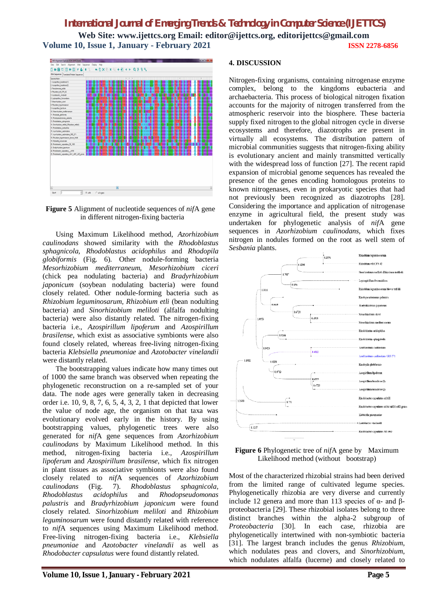# *International Journal of Emerging Trends & Technology in Computer Science (IJETTCS)* **Web Site: www.ijettcs.org Email: editor@ijettcs.org, editorijettcs@gmail.com Volume 10, Issue 1, January - February 2021 ISSN 2278-6856**



**Figure 5** Alignment of nucleotide sequences of *nif*A gene in different nitrogen-fixing bacteria

Using Maximum Likelihood method, *Azorhizobium caulinodans* showed similarity with the *Rhodoblastus sphagnicola, Rhodoblastus acidophilus* and *Rhodopila globiformis* (Fig. 6)*.* Other nodule-forming bacteria *Mesorhizobium mediterraneum, Mesorhizobium ciceri* (chick pea nodulating bacteria) and *Bradyrhizobium japonicum* (soybean nodulating bacteria) were found closely related. Other nodule-forming bacteria such as *Rhizobium leguminosarum, Rhizobium etli* (bean nodulting bacteria) and *Sinorhizobium meliloti* (alfalfa nodulting bacteria) were also distantly related. The nitrogen-fixing bacteria i.e., *Azospirillum lipoferum* and *Azospirillum brasilense*, which exist as associative symbionts were also found closely related, whereas free-living nitrogen-fixing bacteria *Klebsiella pneumoniae* and *Azotobacter vinelandii* were distantly related.

The bootstrapping values indicate how many times out of 1000 the same branch was observed when repeating the phylogenetic reconstruction on a re-sampled set of your data. The node ages were generally taken in decreasing order i.e. 10, 9, 8, 7, 6, 5, 4, 3, 2, 1 that depicted that lower the value of node age, the organism on that taxa was evolutionary evolved early in the history. By using bootstrapping values, phylogenetic trees were also generated for *nif*A gene sequences from *Azorhizobium caulinodans* by Maximum Likelihood method. In this method, nitrogen-fixing bacteria i.e., *Azospirillum lipoferum* and *Azospirillum brasilense*, which fix nitrogen in plant tissues as associative symbionts were also found closely related to *nif*A sequences of *Azorhizobium caulinodans* (Fig. 7). *Rhodoblastus sphagnicola, Rhodoblastus acidophilus* and *Rhodopseudomonas palustris* and *Bradyrhizobium japonicum* were found closely related. *Sinorhizobium meliloti* and *Rhizobium leguminosarum* were found distantly related with reference to *nif*A sequences using Maximum Likelihood method. Free-living nitrogen-fixing bacteria i.e., *Klebsiella pneumoniae* and *Azotobacter vinelandii* as well as *Rhodobacter capsulatus* were found distantly related.

### **4. DISCUSSION**

Nitrogen-fixing organisms, containing nitrogenase enzyme complex, belong to the kingdoms eubacteria and archaebacteria. This process of biological nitrogen fixation accounts for the majority of nitrogen transferred from the atmospheric reservoir into the biosphere. These bacteria supply fixed nitrogen to the global nitrogen cycle in diverse ecosystems and therefore, diazotrophs are present in virtually all ecosystems. The distribution pattern of microbial communities suggests that nitrogen-fixing ability is evolutionary ancient and mainly transmitted vertically with the widespread loss of function [27]. The recent rapid expansion of microbial genome sequences has revealed the presence of the genes encoding homologous proteins to known nitrogenases, even in prokaryotic species that had not previously been recognized as diazotrophs [28]. Considering the importance and application of nitrogenase enzyme in agricultural field, the present study was undertaken for phylogenetic analysis of *nif*A gene sequences in *Azorhizobium caulinodans,* which fixes nitrogen in nodules formed on the root as well stem of *Sesbania* plants.



**Figure 6** Phylogenetic tree of *nif*A gene by Maximum Likelihood method (without bootstrap)

Most of the characterized rhizobial strains had been derived from the limited range of cultivated legume species. Phylogenetically rhizobia are very diverse and currently include 12 genera and more than 113 species of  $α$ - and  $β$ proteobacteria [29]. These rhizobial isolates belong to three distinct branches within the alpha-2 subgroup of *Proteobacteria* [30]. In each case, rhizobia are phylogenetically intertwined with non-symbiotic bacteria [31]. The largest branch includes the genus *Rhizobium*, which nodulates peas and clovers, and *Sinorhizobium*, which nodulates alfalfa (lucerne) and closely related to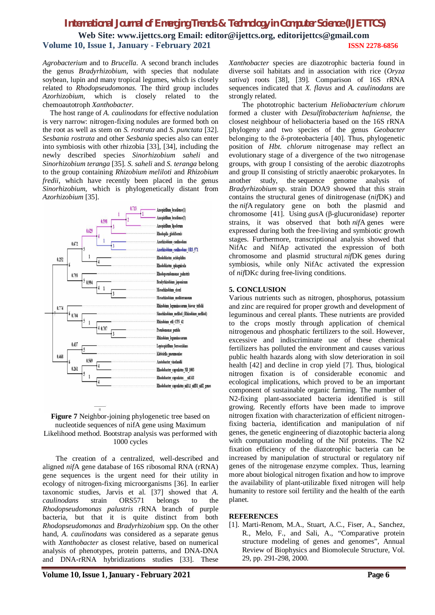### *International Journal of Emerging Trends & Technology in Computer Science (IJETTCS)* **Web Site: www.ijettcs.org Email: editor@ijettcs.org, editorijettcs@gmail.com Volume 10, Issue 1, January - February 2021 ISSN 2278-6856**

*Agrobacterium* and to *Brucella*. A second branch includes the genus *Bradyrhizobium*, with species that nodulate soybean, lupin and many tropical legumes, which is closely related to *Rhodopseudomonas*. The third group includes *Azorhizobium*, which is closely related to the chemoautotroph *Xanthobacter*.

The host range of *A. caulinodans* for effective nodulation is very narrow: nitrogen-fixing nodules are formed both on the root as well as stem on *S. rostrata* and *S. punctata* [32]. *Sesbania rostrata* and other *Sesbania* species also can enter into symbiosis with other rhizobia [33], [34], including the newly described species *Sinorhizobium saheli* and *Sinorhizobium teranga* [35]. *S. saheli* and *S. teranga* belong to the group containing *Rhizobium meliloti* and *Rhizobium fredii*, which have recently been placed in the genus *Sinorhizobium*, which is phylogenetically distant from *Azorhizobium* [35].



### **Figure 7** Neighbor-joining phylogenetic tree based on nucleotide sequences of nifA gene using Maximum Likelihood method. Bootstrap analysis was performed with 1000 cycles

The creation of a centralized, well-described and aligned *nif*A gene database of 16S ribosomal RNA (rRNA) gene sequences is the urgent need for their utility in ecology of nitrogen-fixing microorganisms [36]. In earlier taxonomic studies, Jarvis et al. [37] showed that *A. caulinodans* strain ORS571 belongs to the *Rhodopseudomonas palustris* rRNA branch of purple bacteria, but that it is quite distinct from both *Rhodopseudomonas* and *Bradyrhizobium* spp. On the other hand, *A. caulinodans* was considered as a separate genus with *Xanthobacter* as closest relative, based on numerical analysis of phenotypes, protein patterns, and DNA-DNA and DNA-rRNA hybridizations studies [33]. These

*Xanthobacter* species are diazotrophic bacteria found in diverse soil habitats and in association with rice (*Oryza sativa*) roots [38], [39]. Comparison of 16S rRNA sequences indicated that *X. flavus* and *A. caulinodans* are strongly related.

The phototrophic bacterium *Heliobacterium chlorum* formed a cluster with *Desulfitobacterium hafniense*, the closest neighbour of heliobacteria based on the 16S rRNA phylogeny and two species of the genus *Geobacter*  belonging to the δ-proteobacteria [40]. Thus, phylogenetic position of *Hbt. chlorum* nitrogenase may reflect an evolutionary stage of a divergence of the two nitrogenase groups, with group I consisting of the aerobic diazotrophs and group II consisting of strictly anaerobic prokaryotes. In another study, the sequence genome analysis of *Bradyrhizobium* sp. strain DOA9 showed that this strain contains the structural genes of dinitrogenase (*nif*DK) and the *nif*A regulatory gene on both the plasmid and chromosome [41]. Using *gus*A (β-glucuronidase) reporter strains, it was observed that both *nif*A genes were expressed during both the free-living and symbiotic growth stages. Furthermore, transcriptional analysis showed that NifAc and NifAp activated the expression of both chromosome and plasmid structural *nif*DK genes during symbiosis, while only NifAc activated the expression of *nif*DKc during free-living conditions.

### **5. CONCLUSION**

Various nutrients such as nitrogen, phosphorus, potassium and zinc are required for proper growth and development of leguminous and cereal plants. These nutrients are provided to the crops mostly through application of chemical nitrogenous and phosphatic fertilizers to the soil. However, excessive and indiscriminate use of these chemical fertilizers has polluted the environment and causes various public health hazards along with slow deterioration in soil health [42] and decline in crop yield [7]. Thus, biological nitrogen fixation is of considerable economic and ecological implications, which proved to be an important component of sustainable organic farming. The number of N2-fixing plant-associated bacteria identified is still growing. Recently efforts have been made to improve nitrogen fixation with characterization of efficient nitrogenfixing bacteria, identification and manipulation of nif genes, the genetic engineering of diazotophic bacteria along with computation modeling of the Nif proteins. The N2 fixation efficiency of the diazotrophic bacteria can be increased by manipulation of structural or regulatory nif genes of the nitrogenase enzyme complex. Thus, learning more about biological nitrogen fixation and how to improve the availability of plant-utilizable fixed nitrogen will help humanity to restore soil fertility and the health of the earth planet.

### **REFERENCES**

[1]. Marti-Renom, M.A., Stuart, A.C., Fiser, A., Sanchez, R., Melo, F., and Sali, A., "Comparative protein structure modeling of genes and genomes", Annual Review of Biophysics and Biomolecule Structure, Vol. 29, pp. 291-298, 2000.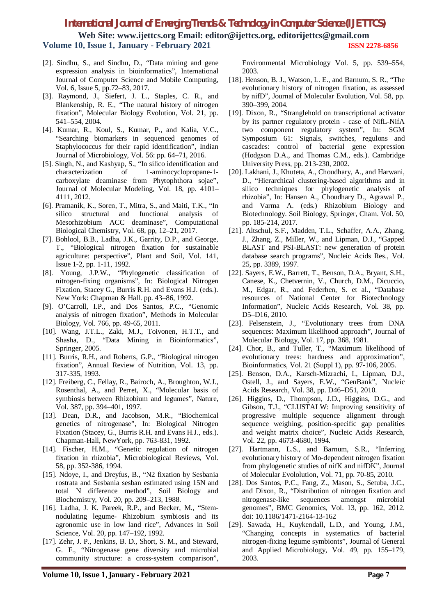**Web Site: www.ijettcs.org Email: editor@ijettcs.org, editorijettcs@gmail.com Volume 10, Issue 1, January - February 2021 ISSN 2278-6856**

- [2]. Sindhu, S., and Sindhu, D., "Data mining and gene expression analysis in bioinformatics", International Journal of Computer Science and Mobile Computing, Vol. 6, Issue 5, pp.72–83, 2017.
- [3]. Raymond, J., Siefert, J. L., Staples, C. R., and Blankenship, R. E., "The natural history of nitrogen fixation", Molecular Biology Evolution, Vol. 21, pp. 541–554, 2004.
- [4]. Kumar, R., Koul, S., Kumar, P., and Kalia, V.C., "Searching biomarkers in sequenced genomes of Staphylococcus for their rapid identification", Indian Journal of Microbiology, Vol. 56: pp. 64–71, 2016.
- [5]. Singh, N., and Kashyap, S., "In silico identification and characterization of 1-aminocyclopropane-1 carboxylate deaminase from Phytophthora sojae", Journal of Molecular Modeling, Vol. 18, pp. 4101– 4111, 2012.
- [6]. Pramanik, K., Soren, T., Mitra, S., and Maiti, T.K., "In silico structural and functional analysis of Mesorhizobium ACC deaminase", Computational Biological Chemistry, Vol. 68, pp, 12–21, 2017.
- [7]. Bohlool, B.B., Ladha, J.K., Garrity, D.P., and George, T., "Biological nitrogen fixation for sustainable agriculture: perspective", Plant and Soil, Vol. 141, Issue 1-2, pp. 1-11, 1992.
- [8]. Young, J.P.W., "Phylogenetic classification of nitrogen-fixing organisms", In: Biological Nitrogen Fixation, Stacey G., Burris R.H. and Evans H.J. (eds.). New York: Chapman & Hall. pp. 43–86, 1992.
- [9]. O'Carroll, I.P., and Dos Santos, P.C., "Genomic analysis of nitrogen fixation", Methods in Molecular Biology, Vol. 766, pp. 49-65, 2011.
- [10]. Wang, J.T.L., Zaki, M.J., Toivonen, H.T.T., and Shasha, D., "Data Mining in Bioinformatics", Springer, 2005.
- [11]. Burris, R.H., and Roberts, G.P., "Biological nitrogen fixation", Annual Review of Nutrition, Vol. 13, pp. 317-335, 1993.
- [12]. Freiberg, C., Fellay, R., Bairoch, A., Broughton, W.J., Rosenthal, A., and Perret, X., "Molecular basis of symbiosis between Rhizobium and legumes", Nature, Vol. 387, pp. 394–401, 1997.
- [13]. Dean, D.R., and Jacobson, M.R., "Biochemical genetics of nitrogenase", In: Biological Nitrogen Fixation (Stacey, G., Burris R.H. and Evans H.J., eds.). Chapman-Hall, NewYork, pp. 763-831, 1992.
- [14]. Fischer, H.M., "Genetic regulation of nitrogen fixation in rhizobia", Microbiological Reviews, Vol. 58, pp. 352-386, 1994.
- [15]. Ndoye, I., and Dreyfus, B., "N2 fixation by Sesbania rostrata and Sesbania sesban estimated using 15N and total N difference method", Soil Biology and Biochemistry, Vol. 20, pp. 209–213, 1988.
- [16]. Ladha, J. K. Pareek, R.P., and Becker, M., "Stemnodulating legume- Rhizobium symbiosis and its agronomic use in low land rice", Advances in Soil Science, Vol. 20, pp. 147–192, 1992.
- [17]. Zehr, J. P., Jenkins, B. D., Short, S. M., and Steward, G. F., "Nitrogenase gene diversity and microbial community structure: a cross-system comparison",

Environmental Microbiology Vol. 5, pp. 539–554, 2003.

- [18]. Henson, B. J., Watson, L. E., and Barnum, S. R., "The evolutionary history of nitrogen fixation, as assessed by nifD", Journal of Molecular Evolution, Vol. 58, pp. 390–399, 2004.
- [19]. Dixon, R., "Stranglehold on transcriptional activator by its partner regulatory protein - case of NifL-NifA two component regulatory system", In: SGM Symposium 61: Signals, switches, regulons and cascades: control of bacterial gene expression (Hodgson D.A., and Thomas C.M., eds.). Cambridge University Press, pp. 213-230, 2002.
- [20]. Lakhani, J., Khuteta, A., Choudhary, A., and Harwani, D., "Hierarchical clustering-based algorithms and in silico techniques for phylogenetic analysis of rhizobia", In: Hansen A., Choudhary D., Agrawal P., and Varma A. (eds.) Rhizobium Biology and Biotechnology. Soil Biology, Springer, Cham. Vol. 50, pp. 185-214, 2017.
- [21]. Altschul, S.F., Madden, T.L., Schaffer, A.A., Zhang, J., Zhang, Z., Miller, W., and Lipman, D.J., "Gapped BLAST and PSI-BLAST: new generation of protein database search programs", Nucleic Acids Res., Vol. 25, pp. 3389, 1997.
- [22]. Sayers, E.W., Barrett, T., Benson, D.A., Bryant, S.H., Canese, K., Chetvernin, V., Church, D.M., Dicuccio, M., Edgar, R., and Federhen, S. et al., "Database resources of National Center for Biotechnology Information", Nucleic Acids Research, Vol. 38, pp. D5–D16, 2010.
- [23]. Felsenstein, J., "Evolutionary trees from DNA sequences: Maximum likelihood approach", Journal of Molecular Biology, Vol. 17, pp. 368, 1981.
- [24]. Chor, B., and Tuller, T., "Maximum likelihood of evolutionary trees: hardness and approximation", Bioinformatics, Vol. 21 (Suppl 1), pp. 97-106, 2005.
- [25]. Benson, D.A., Karsch-Mizrachi, I., Lipman, D.J., Ostell, J., and Sayers, E.W., "GenBank", Nucleic Acids Research, Vol. 38, pp. D46–D51, 2010.
- [26]. Higgins, D., Thompson, J.D., Higgins, D.G., and Gibson, T.J., "CLUSTALW: Improving sensitivity of progressive multiple sequence alignment through sequence weighing, position-specific gap penalities and weight matrix choice", Nucleic Acids Research, Vol. 22, pp. 4673-4680, 1994.
- [27]. Hartmann, L.S., and Barnum, S.R., "Inferring evolutionary history of Mo-dependent nitrogen fixation from phylogenetic studies of nifK and nifDK", Journal of Molecular Evololution, Vol. 71, pp. 70-85, 2010.
- [28]. Dos Santos, P.C., Fang, Z., Mason, S., Setuba, J.C., and Dixon, R., "Distribution of nitrogen fixation and nitrogenase-like sequences amongst microbial genomes", BMC Genomics, Vol. 13, pp. 162, 2012. doi: 10.1186/1471-2164-13-162
- [29]. Sawada, H., Kuykendall, L.D., and Young, J.M., "Changing concepts in systematics of bacterial nitrogen-fixing legume symbionts", Journal of General and Applied Microbiology, Vol. 49, pp. 155–179, 2003.